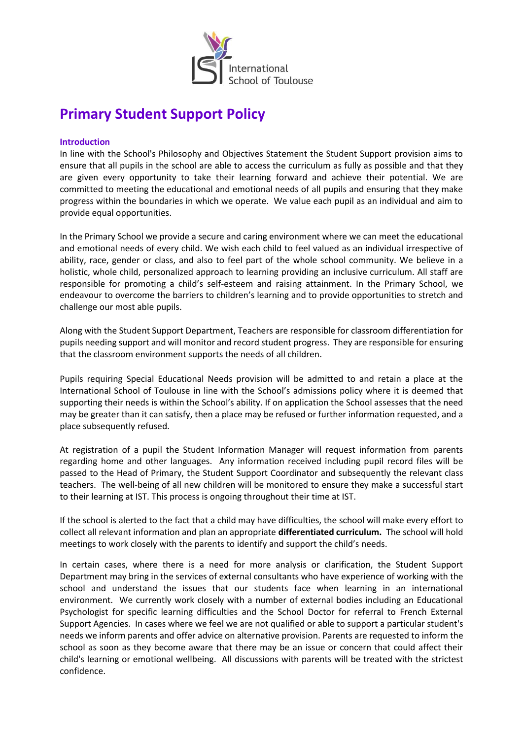

# **Primary Student Support Policy**

### **Introduction**

In line with the School's Philosophy and Objectives Statement the Student Support provision aims to ensure that all pupils in the school are able to access the curriculum as fully as possible and that they are given every opportunity to take their learning forward and achieve their potential. We are committed to meeting the educational and emotional needs of all pupils and ensuring that they make progress within the boundaries in which we operate. We value each pupil as an individual and aim to provide equal opportunities.

In the Primary School we provide a secure and caring environment where we can meet the educational and emotional needs of every child. We wish each child to feel valued as an individual irrespective of ability, race, gender or class, and also to feel part of the whole school community. We believe in a holistic, whole child, personalized approach to learning providing an inclusive curriculum. All staff are responsible for promoting a child's self-esteem and raising attainment. In the Primary School, we endeavour to overcome the barriers to children's learning and to provide opportunities to stretch and challenge our most able pupils.

Along with the Student Support Department, Teachers are responsible for classroom differentiation for pupils needing support and will monitor and record student progress. They are responsible for ensuring that the classroom environment supports the needs of all children.

Pupils requiring Special Educational Needs provision will be admitted to and retain a place at the International School of Toulouse in line with the School's admissions policy where it is deemed that supporting their needs is within the School's ability. If on application the School assesses that the need may be greater than it can satisfy, then a place may be refused or further information requested, and a place subsequently refused.

At registration of a pupil the Student Information Manager will request information from parents regarding home and other languages. Any information received including pupil record files will be passed to the Head of Primary, the Student Support Coordinator and subsequently the relevant class teachers. The well-being of all new children will be monitored to ensure they make a successful start to their learning at IST. This process is ongoing throughout their time at IST.

If the school is alerted to the fact that a child may have difficulties, the school will make every effort to collect all relevant information and plan an appropriate **differentiated curriculum.** The school will hold meetings to work closely with the parents to identify and support the child's needs.

In certain cases, where there is a need for more analysis or clarification, the Student Support Department may bring in the services of external consultants who have experience of working with the school and understand the issues that our students face when learning in an international environment. We currently work closely with a number of external bodies including an Educational Psychologist for specific learning difficulties and the School Doctor for referral to French External Support Agencies. In cases where we feel we are not qualified or able to support a particular student's needs we inform parents and offer advice on alternative provision. Parents are requested to inform the school as soon as they become aware that there may be an issue or concern that could affect their child's learning or emotional wellbeing. All discussions with parents will be treated with the strictest confidence.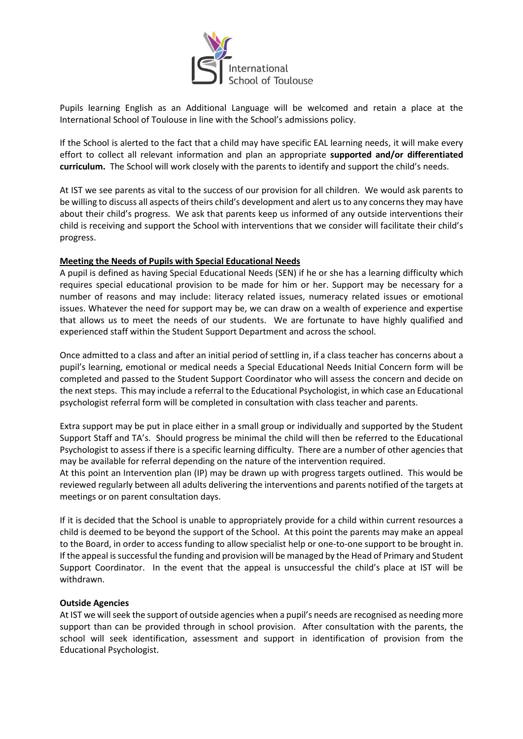

Pupils learning English as an Additional Language will be welcomed and retain a place at the International School of Toulouse in line with the School's admissions policy.

If the School is alerted to the fact that a child may have specific EAL learning needs, it will make every effort to collect all relevant information and plan an appropriate **supported and/or differentiated curriculum.** The School will work closely with the parents to identify and support the child's needs.

At IST we see parents as vital to the success of our provision for all children. We would ask parents to be willing to discuss all aspects of theirs child's development and alert us to any concerns they may have about their child's progress. We ask that parents keep us informed of any outside interventions their child is receiving and support the School with interventions that we consider will facilitate their child's progress.

## **Meeting the Needs of Pupils with Special Educational Needs**

A pupil is defined as having Special Educational Needs (SEN) if he or she has a learning difficulty which requires special educational provision to be made for him or her. Support may be necessary for a number of reasons and may include: literacy related issues, numeracy related issues or emotional issues. Whatever the need for support may be, we can draw on a wealth of experience and expertise that allows us to meet the needs of our students. We are fortunate to have highly qualified and experienced staff within the Student Support Department and across the school.

Once admitted to a class and after an initial period of settling in, if a class teacher has concerns about a pupil's learning, emotional or medical needs a Special Educational Needs Initial Concern form will be completed and passed to the Student Support Coordinator who will assess the concern and decide on the next steps. This may include a referral to the Educational Psychologist, in which case an Educational psychologist referral form will be completed in consultation with class teacher and parents.

Extra support may be put in place either in a small group or individually and supported by the Student Support Staff and TA's. Should progress be minimal the child will then be referred to the Educational Psychologist to assess if there is a specific learning difficulty. There are a number of other agencies that may be available for referral depending on the nature of the intervention required.

At this point an Intervention plan (IP) may be drawn up with progress targets outlined. This would be reviewed regularly between all adults delivering the interventions and parents notified of the targets at meetings or on parent consultation days.

If it is decided that the School is unable to appropriately provide for a child within current resources a child is deemed to be beyond the support of the School. At this point the parents may make an appeal to the Board, in order to access funding to allow specialist help or one-to-one support to be brought in. If the appeal is successful the funding and provision will be managed by the Head of Primary and Student Support Coordinator. In the event that the appeal is unsuccessful the child's place at IST will be withdrawn.

### **Outside Agencies**

At IST we will seek the support of outside agencies when a pupil's needs are recognised as needing more support than can be provided through in school provision. After consultation with the parents, the school will seek identification, assessment and support in identification of provision from the Educational Psychologist.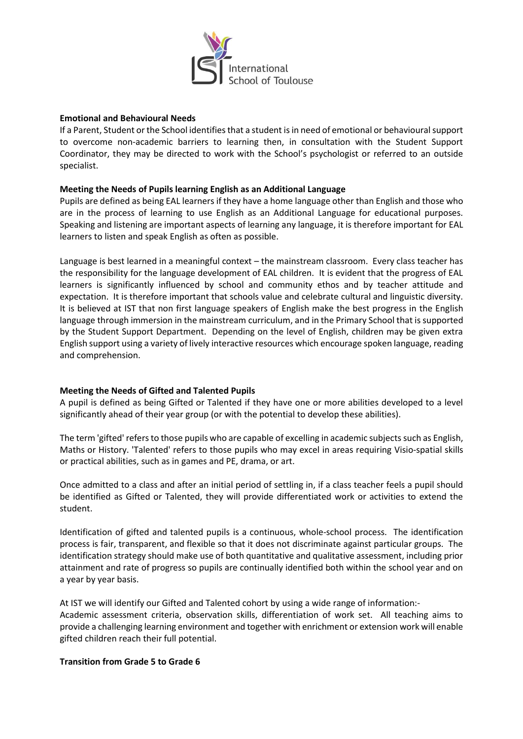

### **Emotional and Behavioural Needs**

If a Parent, Student or the School identifies that a student is in need of emotional or behavioural support to overcome non-academic barriers to learning then, in consultation with the Student Support Coordinator, they may be directed to work with the School's psychologist or referred to an outside specialist.

## **Meeting the Needs of Pupils learning English as an Additional Language**

Pupils are defined as being EAL learners if they have a home language other than English and those who are in the process of learning to use English as an Additional Language for educational purposes. Speaking and listening are important aspects of learning any language, it is therefore important for EAL learners to listen and speak English as often as possible.

Language is best learned in a meaningful context – the mainstream classroom. Every class teacher has the responsibility for the language development of EAL children. It is evident that the progress of EAL learners is significantly influenced by school and community ethos and by teacher attitude and expectation. It is therefore important that schools value and celebrate cultural and linguistic diversity. It is believed at IST that non first language speakers of English make the best progress in the English language through immersion in the mainstream curriculum, and in the Primary School that is supported by the Student Support Department. Depending on the level of English, children may be given extra English support using a variety of lively interactive resources which encourage spoken language, reading and comprehension.

# **Meeting the Needs of Gifted and Talented Pupils**

A pupil is defined as being Gifted or Talented if they have one or more abilities developed to a level significantly ahead of their year group (or with the potential to develop these abilities).

The term 'gifted' refers to those pupils who are capable of excelling in academic subjects such as English, Maths or History. 'Talented' refers to those pupils who may excel in areas requiring Visio-spatial skills or practical abilities, such as in games and PE, drama, or art.

Once admitted to a class and after an initial period of settling in, if a class teacher feels a pupil should be identified as Gifted or Talented, they will provide differentiated work or activities to extend the student.

Identification of gifted and talented pupils is a continuous, whole-school process. The identification process is fair, transparent, and flexible so that it does not discriminate against particular groups. The identification strategy should make use of both quantitative and qualitative assessment, including prior attainment and rate of progress so pupils are continually identified both within the school year and on a year by year basis.

At IST we will identify our Gifted and Talented cohort by using a wide range of information:- Academic assessment criteria, observation skills, differentiation of work set. All teaching aims to provide a challenging learning environment and together with enrichment or extension work will enable gifted children reach their full potential.

### **Transition from Grade 5 to Grade 6**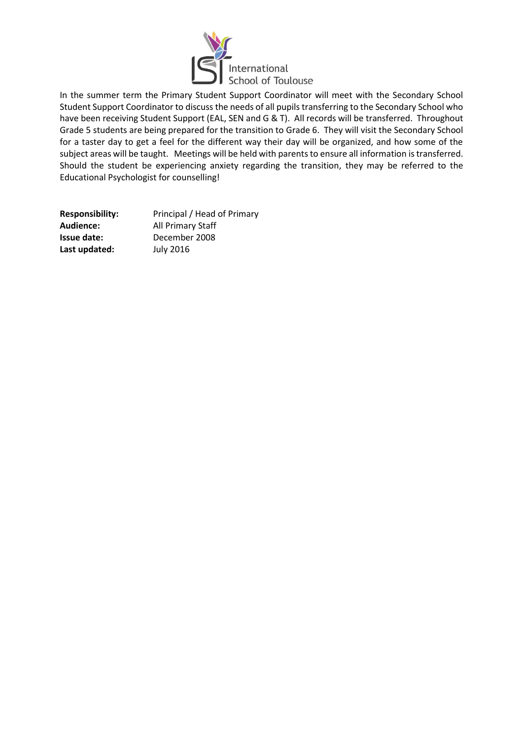

In the summer term the Primary Student Support Coordinator will meet with the Secondary School Student Support Coordinator to discuss the needs of all pupils transferring to the Secondary School who have been receiving Student Support (EAL, SEN and G & T). All records will be transferred. Throughout Grade 5 students are being prepared for the transition to Grade 6. They will visit the Secondary School for a taster day to get a feel for the different way their day will be organized, and how some of the subject areas will be taught. Meetings will be held with parents to ensure all information is transferred. Should the student be experiencing anxiety regarding the transition, they may be referred to the Educational Psychologist for counselling!

| <b>Responsibility:</b> | Principal / Head of Primary |
|------------------------|-----------------------------|
| Audience:              | All Primary Staff           |
| Issue date:            | December 2008               |
| Last updated:          | <b>July 2016</b>            |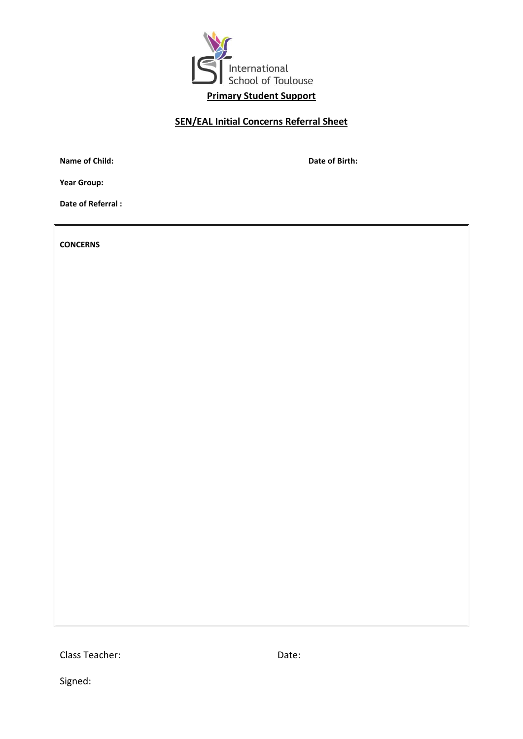

# **SEN/EAL Initial Concerns Referral Sheet**

**Name of Child: Date of Birth: Date of Birth:** 

**Year Group:** 

**Date of Referral :** 

**CONCERNS**

Class Teacher: Note: Date: Date:

Signed: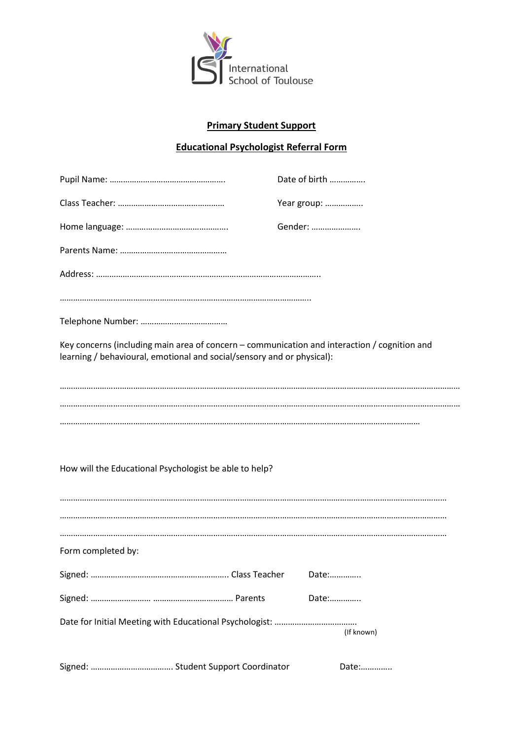

# **Primary Student Support**

# **Educational Psychologist Referral Form**

|                                                                                                                                                                        | Date of birth |
|------------------------------------------------------------------------------------------------------------------------------------------------------------------------|---------------|
|                                                                                                                                                                        | Year group:   |
|                                                                                                                                                                        | Gender:       |
|                                                                                                                                                                        |               |
|                                                                                                                                                                        |               |
|                                                                                                                                                                        |               |
|                                                                                                                                                                        |               |
| Key concerns (including main area of concern - communication and interaction / cognition and<br>learning / behavioural, emotional and social/sensory and or physical): |               |
|                                                                                                                                                                        |               |
| How will the Educational Psychologist be able to help?                                                                                                                 |               |
|                                                                                                                                                                        |               |
|                                                                                                                                                                        |               |
| Form completed by:                                                                                                                                                     |               |
|                                                                                                                                                                        | Date:         |
|                                                                                                                                                                        | Date:         |
|                                                                                                                                                                        | (If known)    |
|                                                                                                                                                                        | Date:         |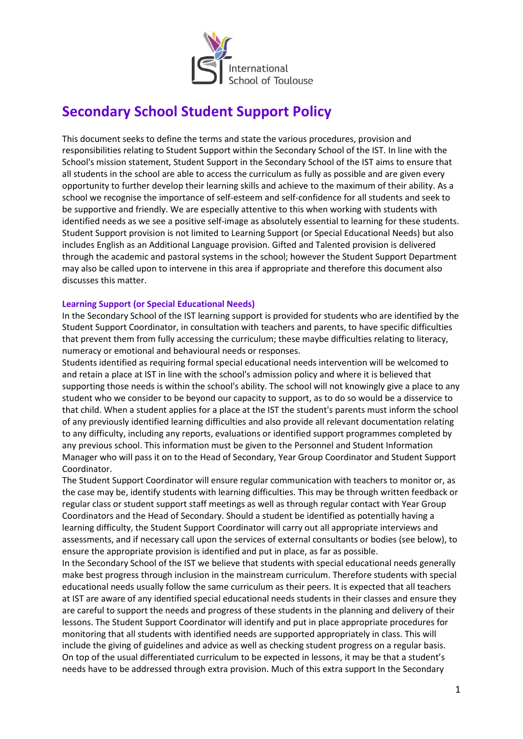

# **Secondary School Student Support Policy**

This document seeks to define the terms and state the various procedures, provision and responsibilities relating to Student Support within the Secondary School of the IST. In line with the School's mission statement, Student Support in the Secondary School of the IST aims to ensure that all students in the school are able to access the curriculum as fully as possible and are given every opportunity to further develop their learning skills and achieve to the maximum of their ability. As a school we recognise the importance of self-esteem and self-confidence for all students and seek to be supportive and friendly. We are especially attentive to this when working with students with identified needs as we see a positive self-image as absolutely essential to learning for these students. Student Support provision is not limited to Learning Support (or Special Educational Needs) but also includes English as an Additional Language provision. Gifted and Talented provision is delivered through the academic and pastoral systems in the school; however the Student Support Department may also be called upon to intervene in this area if appropriate and therefore this document also discusses this matter.

## **Learning Support (or Special Educational Needs)**

In the Secondary School of the IST learning support is provided for students who are identified by the Student Support Coordinator, in consultation with teachers and parents, to have specific difficulties that prevent them from fully accessing the curriculum; these maybe difficulties relating to literacy, numeracy or emotional and behavioural needs or responses.

Students identified as requiring formal special educational needs intervention will be welcomed to and retain a place at IST in line with the school's admission policy and where it is believed that supporting those needs is within the school's ability. The school will not knowingly give a place to any student who we consider to be beyond our capacity to support, as to do so would be a disservice to that child. When a student applies for a place at the IST the student's parents must inform the school of any previously identified learning difficulties and also provide all relevant documentation relating to any difficulty, including any reports, evaluations or identified support programmes completed by any previous school. This information must be given to the Personnel and Student Information Manager who will pass it on to the Head of Secondary, Year Group Coordinator and Student Support Coordinator.

The Student Support Coordinator will ensure regular communication with teachers to monitor or, as the case may be, identify students with learning difficulties. This may be through written feedback or regular class or student support staff meetings as well as through regular contact with Year Group Coordinators and the Head of Secondary. Should a student be identified as potentially having a learning difficulty, the Student Support Coordinator will carry out all appropriate interviews and assessments, and if necessary call upon the services of external consultants or bodies (see below), to ensure the appropriate provision is identified and put in place, as far as possible.

In the Secondary School of the IST we believe that students with special educational needs generally make best progress through inclusion in the mainstream curriculum. Therefore students with special educational needs usually follow the same curriculum as their peers. It is expected that all teachers at IST are aware of any identified special educational needs students in their classes and ensure they are careful to support the needs and progress of these students in the planning and delivery of their lessons. The Student Support Coordinator will identify and put in place appropriate procedures for monitoring that all students with identified needs are supported appropriately in class. This will include the giving of guidelines and advice as well as checking student progress on a regular basis. On top of the usual differentiated curriculum to be expected in lessons, it may be that a student's needs have to be addressed through extra provision. Much of this extra support In the Secondary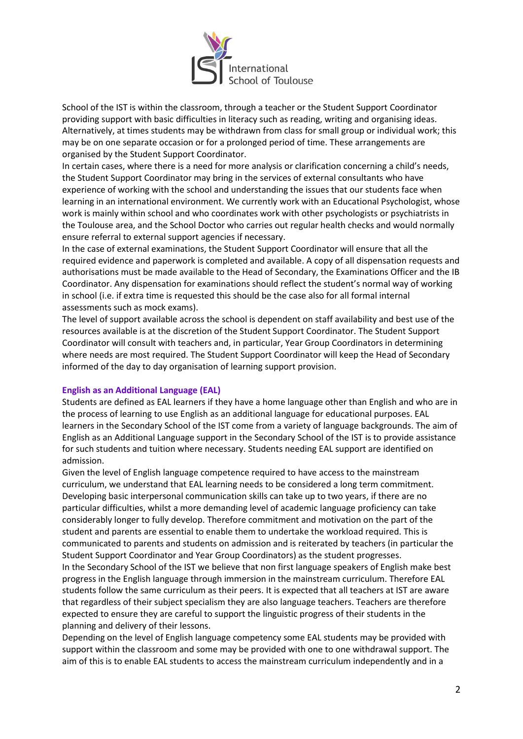

School of the IST is within the classroom, through a teacher or the Student Support Coordinator providing support with basic difficulties in literacy such as reading, writing and organising ideas. Alternatively, at times students may be withdrawn from class for small group or individual work; this may be on one separate occasion or for a prolonged period of time. These arrangements are organised by the Student Support Coordinator.

In certain cases, where there is a need for more analysis or clarification concerning a child's needs, the Student Support Coordinator may bring in the services of external consultants who have experience of working with the school and understanding the issues that our students face when learning in an international environment. We currently work with an Educational Psychologist, whose work is mainly within school and who coordinates work with other psychologists or psychiatrists in the Toulouse area, and the School Doctor who carries out regular health checks and would normally ensure referral to external support agencies if necessary.

In the case of external examinations, the Student Support Coordinator will ensure that all the required evidence and paperwork is completed and available. A copy of all dispensation requests and authorisations must be made available to the Head of Secondary, the Examinations Officer and the IB Coordinator. Any dispensation for examinations should reflect the student's normal way of working in school (i.e. if extra time is requested this should be the case also for all formal internal assessments such as mock exams).

The level of support available across the school is dependent on staff availability and best use of the resources available is at the discretion of the Student Support Coordinator. The Student Support Coordinator will consult with teachers and, in particular, Year Group Coordinators in determining where needs are most required. The Student Support Coordinator will keep the Head of Secondary informed of the day to day organisation of learning support provision.

### **English as an Additional Language (EAL)**

Students are defined as EAL learners if they have a home language other than English and who are in the process of learning to use English as an additional language for educational purposes. EAL learners in the Secondary School of the IST come from a variety of language backgrounds. The aim of English as an Additional Language support in the Secondary School of the IST is to provide assistance for such students and tuition where necessary. Students needing EAL support are identified on admission.

Given the level of English language competence required to have access to the mainstream curriculum, we understand that EAL learning needs to be considered a long term commitment. Developing basic interpersonal communication skills can take up to two years, if there are no particular difficulties, whilst a more demanding level of academic language proficiency can take considerably longer to fully develop. Therefore commitment and motivation on the part of the student and parents are essential to enable them to undertake the workload required. This is communicated to parents and students on admission and is reiterated by teachers (in particular the Student Support Coordinator and Year Group Coordinators) as the student progresses.

In the Secondary School of the IST we believe that non first language speakers of English make best progress in the English language through immersion in the mainstream curriculum. Therefore EAL students follow the same curriculum as their peers. It is expected that all teachers at IST are aware that regardless of their subject specialism they are also language teachers. Teachers are therefore expected to ensure they are careful to support the linguistic progress of their students in the planning and delivery of their lessons.

Depending on the level of English language competency some EAL students may be provided with support within the classroom and some may be provided with one to one withdrawal support. The aim of this is to enable EAL students to access the mainstream curriculum independently and in a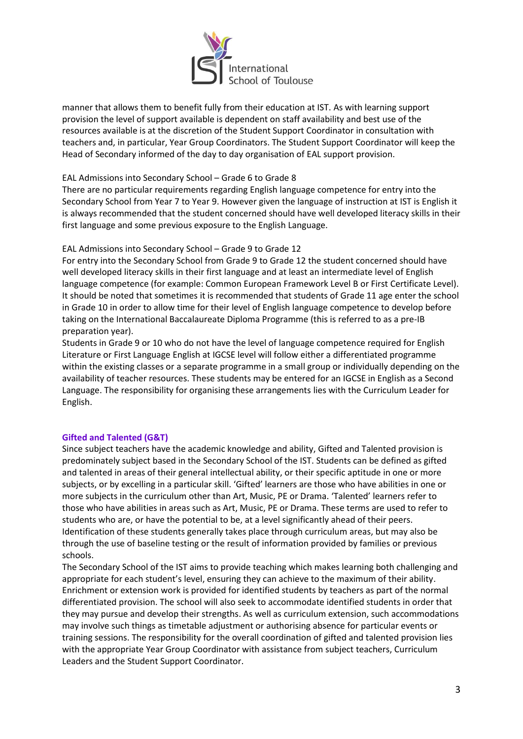

manner that allows them to benefit fully from their education at IST. As with learning support provision the level of support available is dependent on staff availability and best use of the resources available is at the discretion of the Student Support Coordinator in consultation with teachers and, in particular, Year Group Coordinators. The Student Support Coordinator will keep the Head of Secondary informed of the day to day organisation of EAL support provision.

## EAL Admissions into Secondary School – Grade 6 to Grade 8

There are no particular requirements regarding English language competence for entry into the Secondary School from Year 7 to Year 9. However given the language of instruction at IST is English it is always recommended that the student concerned should have well developed literacy skills in their first language and some previous exposure to the English Language.

## EAL Admissions into Secondary School – Grade 9 to Grade 12

For entry into the Secondary School from Grade 9 to Grade 12 the student concerned should have well developed literacy skills in their first language and at least an intermediate level of English language competence (for example: Common European Framework Level B or First Certificate Level). It should be noted that sometimes it is recommended that students of Grade 11 age enter the school in Grade 10 in order to allow time for their level of English language competence to develop before taking on the International Baccalaureate Diploma Programme (this is referred to as a pre-IB preparation year).

Students in Grade 9 or 10 who do not have the level of language competence required for English Literature or First Language English at IGCSE level will follow either a differentiated programme within the existing classes or a separate programme in a small group or individually depending on the availability of teacher resources. These students may be entered for an IGCSE in English as a Second Language. The responsibility for organising these arrangements lies with the Curriculum Leader for English.

# **Gifted and Talented (G&T)**

Since subject teachers have the academic knowledge and ability, Gifted and Talented provision is predominately subject based in the Secondary School of the IST. Students can be defined as gifted and talented in areas of their general intellectual ability, or their specific aptitude in one or more subjects, or by excelling in a particular skill. 'Gifted' learners are those who have abilities in one or more subjects in the curriculum other than Art, Music, PE or Drama. 'Talented' learners refer to those who have abilities in areas such as Art, Music, PE or Drama. These terms are used to refer to students who are, or have the potential to be, at a level significantly ahead of their peers. Identification of these students generally takes place through curriculum areas, but may also be through the use of baseline testing or the result of information provided by families or previous schools.

The Secondary School of the IST aims to provide teaching which makes learning both challenging and appropriate for each student's level, ensuring they can achieve to the maximum of their ability. Enrichment or extension work is provided for identified students by teachers as part of the normal differentiated provision. The school will also seek to accommodate identified students in order that they may pursue and develop their strengths. As well as curriculum extension, such accommodations may involve such things as timetable adjustment or authorising absence for particular events or training sessions. The responsibility for the overall coordination of gifted and talented provision lies with the appropriate Year Group Coordinator with assistance from subject teachers, Curriculum Leaders and the Student Support Coordinator.